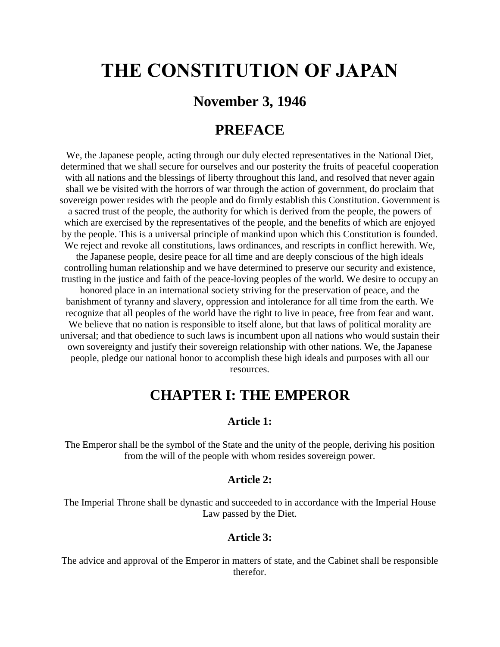# **THE CONSTITUTION OF JAPAN**

# **November 3, 1946**

# **PREFACE**

We, the Japanese people, acting through our duly elected representatives in the National Diet, determined that we shall secure for ourselves and our posterity the fruits of peaceful cooperation with all nations and the blessings of liberty throughout this land, and resolved that never again shall we be visited with the horrors of war through the action of government, do proclaim that sovereign power resides with the people and do firmly establish this Constitution. Government is a sacred trust of the people, the authority for which is derived from the people, the powers of which are exercised by the representatives of the people, and the benefits of which are enjoyed by the people. This is a universal principle of mankind upon which this Constitution is founded. We reject and revoke all constitutions, laws ordinances, and rescripts in conflict herewith. We, the Japanese people, desire peace for all time and are deeply conscious of the high ideals controlling human relationship and we have determined to preserve our security and existence, trusting in the justice and faith of the peace-loving peoples of the world. We desire to occupy an honored place in an international society striving for the preservation of peace, and the banishment of tyranny and slavery, oppression and intolerance for all time from the earth. We recognize that all peoples of the world have the right to live in peace, free from fear and want. We believe that no nation is responsible to itself alone, but that laws of political morality are universal; and that obedience to such laws is incumbent upon all nations who would sustain their own sovereignty and justify their sovereign relationship with other nations. We, the Japanese people, pledge our national honor to accomplish these high ideals and purposes with all our resources.

# **CHAPTER I: THE EMPEROR**

#### **Article 1:**

The Emperor shall be the symbol of the State and the unity of the people, deriving his position from the will of the people with whom resides sovereign power.

#### **Article 2:**

The Imperial Throne shall be dynastic and succeeded to in accordance with the Imperial House Law passed by the Diet.

#### **Article 3:**

The advice and approval of the Emperor in matters of state, and the Cabinet shall be responsible therefor.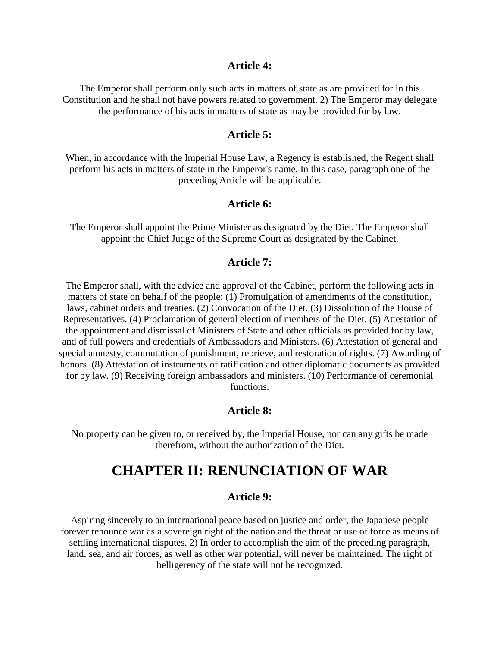#### **Article 4:**

The Emperor shall perform only such acts in matters of state as are provided for in this Constitution and he shall not have powers related to government. 2) The Emperor may delegate the performance of his acts in matters of state as may be provided for by law.

### **Article 5:**

When, in accordance with the Imperial House Law, a Regency is established, the Regent shall perform his acts in matters of state in the Emperor's name. In this case, paragraph one of the preceding Article will be applicable.

#### **Article 6:**

The Emperor shall appoint the Prime Minister as designated by the Diet. The Emperor shall appoint the Chief Judge of the Supreme Court as designated by the Cabinet.

#### **Article 7:**

The Emperor shall, with the advice and approval of the Cabinet, perform the following acts in matters of state on behalf of the people: (1) Promulgation of amendments of the constitution, laws, cabinet orders and treaties. (2) Convocation of the Diet. (3) Dissolution of the House of Representatives. (4) Proclamation of general election of members of the Diet. (5) Attestation of the appointment and dismissal of Ministers of State and other officials as provided for by law, and of full powers and credentials of Ambassadors and Ministers. (6) Attestation of general and special amnesty, commutation of punishment, reprieve, and restoration of rights. (7) Awarding of honors. (8) Attestation of instruments of ratification and other diplomatic documents as provided for by law. (9) Receiving foreign ambassadors and ministers. (10) Performance of ceremonial functions.

#### **Article 8:**

No property can be given to, or received by, the Imperial House, nor can any gifts be made therefrom, without the authorization of the Diet.

# **CHAPTER II: RENUNCIATION OF WAR**

#### **Article 9:**

Aspiring sincerely to an international peace based on justice and order, the Japanese people forever renounce war as a sovereign right of the nation and the threat or use of force as means of settling international disputes. 2) In order to accomplish the aim of the preceding paragraph, land, sea, and air forces, as well as other war potential, will never be maintained. The right of belligerency of the state will not be recognized.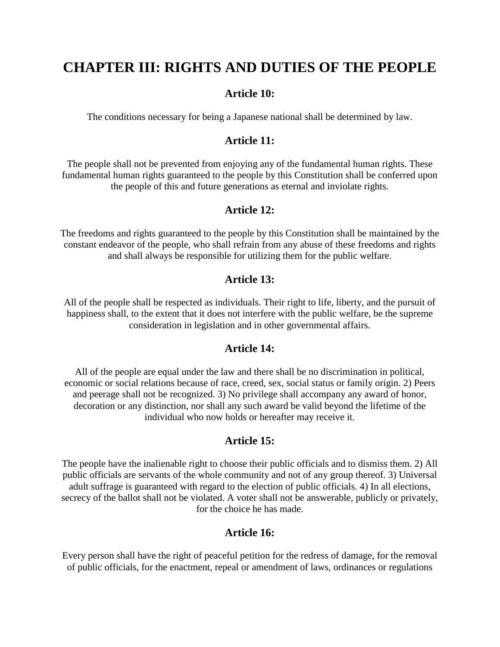# **CHAPTER III: RIGHTS AND DUTIES OF THE PEOPLE**

### **Article 10:**

The conditions necessary for being a Japanese national shall be determined by law.

## **Article 11:**

The people shall not be prevented from enjoying any of the fundamental human rights. These fundamental human rights guaranteed to the people by this Constitution shall be conferred upon the people of this and future generations as eternal and inviolate rights.

## **Article 12:**

The freedoms and rights guaranteed to the people by this Constitution shall be maintained by the constant endeavor of the people, who shall refrain from any abuse of these freedoms and rights and shall always be responsible for utilizing them for the public welfare.

### **Article 13:**

All of the people shall be respected as individuals. Their right to life, liberty, and the pursuit of happiness shall, to the extent that it does not interfere with the public welfare, be the supreme consideration in legislation and in other governmental affairs.

### **Article 14:**

All of the people are equal under the law and there shall be no discrimination in political, economic or social relations because of race, creed, sex, social status or family origin. 2) Peers and peerage shall not be recognized. 3) No privilege shall accompany any award of honor, decoration or any distinction, nor shall any such award be valid beyond the lifetime of the individual who now holds or hereafter may receive it.

## **Article 15:**

The people have the inalienable right to choose their public officials and to dismiss them. 2) All public officials are servants of the whole community and not of any group thereof. 3) Universal adult suffrage is guaranteed with regard to the election of public officials. 4) In all elections, secrecy of the ballot shall not be violated. A voter shall not be answerable, publicly or privately, for the choice he has made.

### **Article 16:**

Every person shall have the right of peaceful petition for the redress of damage, for the removal of public officials, for the enactment, repeal or amendment of laws, ordinances or regulations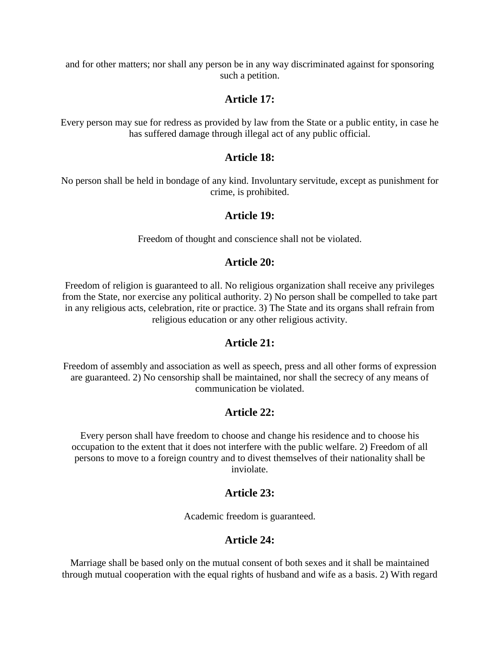and for other matters; nor shall any person be in any way discriminated against for sponsoring such a petition.

## **Article 17:**

Every person may sue for redress as provided by law from the State or a public entity, in case he has suffered damage through illegal act of any public official.

### **Article 18:**

No person shall be held in bondage of any kind. Involuntary servitude, except as punishment for crime, is prohibited.

### **Article 19:**

Freedom of thought and conscience shall not be violated.

## **Article 20:**

Freedom of religion is guaranteed to all. No religious organization shall receive any privileges from the State, nor exercise any political authority. 2) No person shall be compelled to take part in any religious acts, celebration, rite or practice. 3) The State and its organs shall refrain from religious education or any other religious activity.

## **Article 21:**

Freedom of assembly and association as well as speech, press and all other forms of expression are guaranteed. 2) No censorship shall be maintained, nor shall the secrecy of any means of communication be violated.

# **Article 22:**

Every person shall have freedom to choose and change his residence and to choose his occupation to the extent that it does not interfere with the public welfare. 2) Freedom of all persons to move to a foreign country and to divest themselves of their nationality shall be inviolate.

## **Article 23:**

Academic freedom is guaranteed.

## **Article 24:**

Marriage shall be based only on the mutual consent of both sexes and it shall be maintained through mutual cooperation with the equal rights of husband and wife as a basis. 2) With regard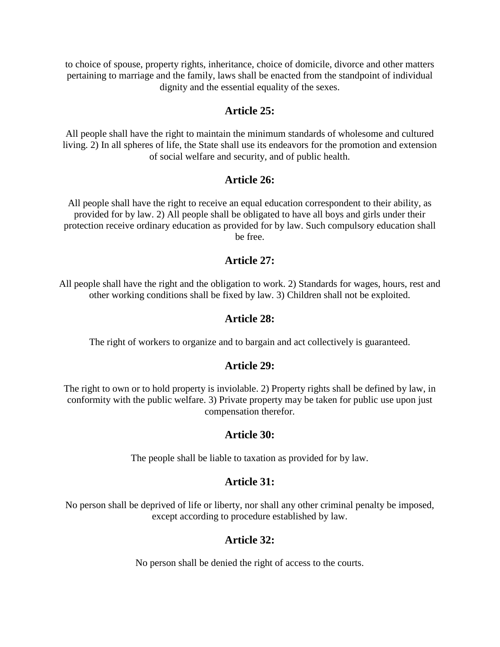to choice of spouse, property rights, inheritance, choice of domicile, divorce and other matters pertaining to marriage and the family, laws shall be enacted from the standpoint of individual dignity and the essential equality of the sexes.

### **Article 25:**

All people shall have the right to maintain the minimum standards of wholesome and cultured living. 2) In all spheres of life, the State shall use its endeavors for the promotion and extension of social welfare and security, and of public health.

### **Article 26:**

All people shall have the right to receive an equal education correspondent to their ability, as provided for by law. 2) All people shall be obligated to have all boys and girls under their protection receive ordinary education as provided for by law. Such compulsory education shall be free.

### **Article 27:**

All people shall have the right and the obligation to work. 2) Standards for wages, hours, rest and other working conditions shall be fixed by law. 3) Children shall not be exploited.

## **Article 28:**

The right of workers to organize and to bargain and act collectively is guaranteed.

## **Article 29:**

The right to own or to hold property is inviolable. 2) Property rights shall be defined by law, in conformity with the public welfare. 3) Private property may be taken for public use upon just compensation therefor.

## **Article 30:**

The people shall be liable to taxation as provided for by law.

## **Article 31:**

No person shall be deprived of life or liberty, nor shall any other criminal penalty be imposed, except according to procedure established by law.

## **Article 32:**

No person shall be denied the right of access to the courts.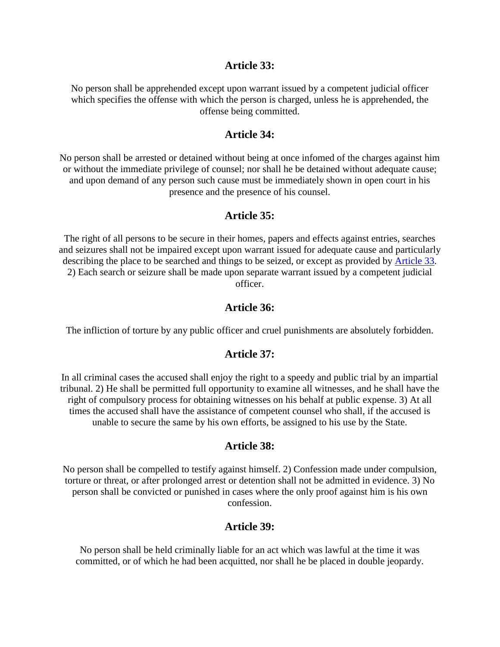#### **Article 33:**

No person shall be apprehended except upon warrant issued by a competent judicial officer which specifies the offense with which the person is charged, unless he is apprehended, the offense being committed.

#### **Article 34:**

No person shall be arrested or detained without being at once infomed of the charges against him or without the immediate privilege of counsel; nor shall he be detained without adequate cause; and upon demand of any person such cause must be immediately shown in open court in his presence and the presence of his counsel.

#### **Article 35:**

The right of all persons to be secure in their homes, papers and effects against entries, searches and seizures shall not be impaired except upon warrant issued for adequate cause and particularly describing the place to be searched and things to be seized, or except as provided by [Article 33.](http://www.solon.org/Constitutions/Japan/English/english-Constitution.html#ARTICLE_33) 2) Each search or seizure shall be made upon separate warrant issued by a competent judicial officer.

### **Article 36:**

The infliction of torture by any public officer and cruel punishments are absolutely forbidden.

#### **Article 37:**

In all criminal cases the accused shall enjoy the right to a speedy and public trial by an impartial tribunal. 2) He shall be permitted full opportunity to examine all witnesses, and he shall have the right of compulsory process for obtaining witnesses on his behalf at public expense. 3) At all times the accused shall have the assistance of competent counsel who shall, if the accused is unable to secure the same by his own efforts, be assigned to his use by the State.

#### **Article 38:**

No person shall be compelled to testify against himself. 2) Confession made under compulsion, torture or threat, or after prolonged arrest or detention shall not be admitted in evidence. 3) No person shall be convicted or punished in cases where the only proof against him is his own confession.

#### **Article 39:**

No person shall be held criminally liable for an act which was lawful at the time it was committed, or of which he had been acquitted, nor shall he be placed in double jeopardy.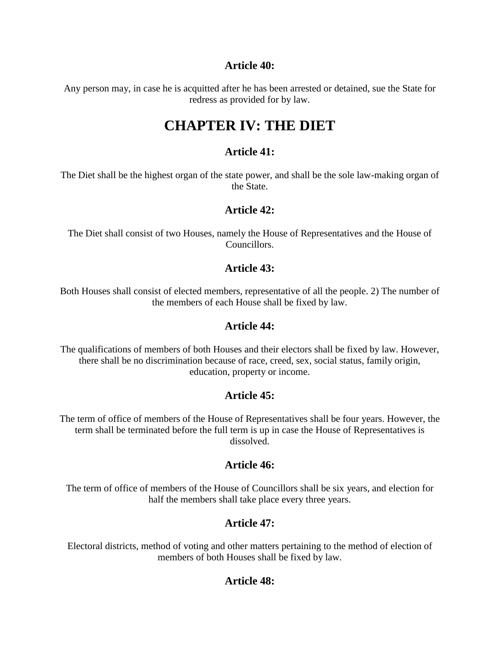## **Article 40:**

Any person may, in case he is acquitted after he has been arrested or detained, sue the State for redress as provided for by law.

# **CHAPTER IV: THE DIET**

## **Article 41:**

The Diet shall be the highest organ of the state power, and shall be the sole law-making organ of the State.

## **Article 42:**

The Diet shall consist of two Houses, namely the House of Representatives and the House of Councillors.

## **Article 43:**

Both Houses shall consist of elected members, representative of all the people. 2) The number of the members of each House shall be fixed by law.

## **Article 44:**

The qualifications of members of both Houses and their electors shall be fixed by law. However, there shall be no discrimination because of race, creed, sex, social status, family origin, education, property or income.

# **Article 45:**

The term of office of members of the House of Representatives shall be four years. However, the term shall be terminated before the full term is up in case the House of Representatives is dissolved.

# **Article 46:**

The term of office of members of the House of Councillors shall be six years, and election for half the members shall take place every three years.

# **Article 47:**

Electoral districts, method of voting and other matters pertaining to the method of election of members of both Houses shall be fixed by law.

# **Article 48:**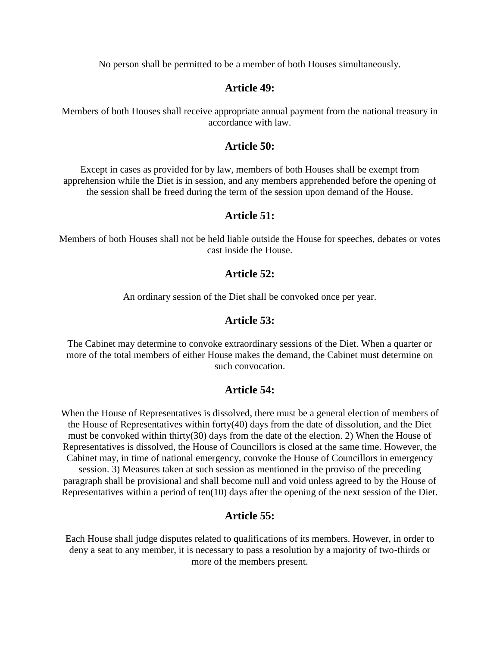No person shall be permitted to be a member of both Houses simultaneously.

### **Article 49:**

Members of both Houses shall receive appropriate annual payment from the national treasury in accordance with law.

#### **Article 50:**

Except in cases as provided for by law, members of both Houses shall be exempt from apprehension while the Diet is in session, and any members apprehended before the opening of the session shall be freed during the term of the session upon demand of the House.

### **Article 51:**

Members of both Houses shall not be held liable outside the House for speeches, debates or votes cast inside the House.

## **Article 52:**

An ordinary session of the Diet shall be convoked once per year.

### **Article 53:**

The Cabinet may determine to convoke extraordinary sessions of the Diet. When a quarter or more of the total members of either House makes the demand, the Cabinet must determine on such convocation.

## **Article 54:**

When the House of Representatives is dissolved, there must be a general election of members of the House of Representatives within forty(40) days from the date of dissolution, and the Diet must be convoked within thirty(30) days from the date of the election. 2) When the House of Representatives is dissolved, the House of Councillors is closed at the same time. However, the Cabinet may, in time of national emergency, convoke the House of Councillors in emergency session. 3) Measures taken at such session as mentioned in the proviso of the preceding paragraph shall be provisional and shall become null and void unless agreed to by the House of Representatives within a period of ten(10) days after the opening of the next session of the Diet.

## **Article 55:**

Each House shall judge disputes related to qualifications of its members. However, in order to deny a seat to any member, it is necessary to pass a resolution by a majority of two-thirds or more of the members present.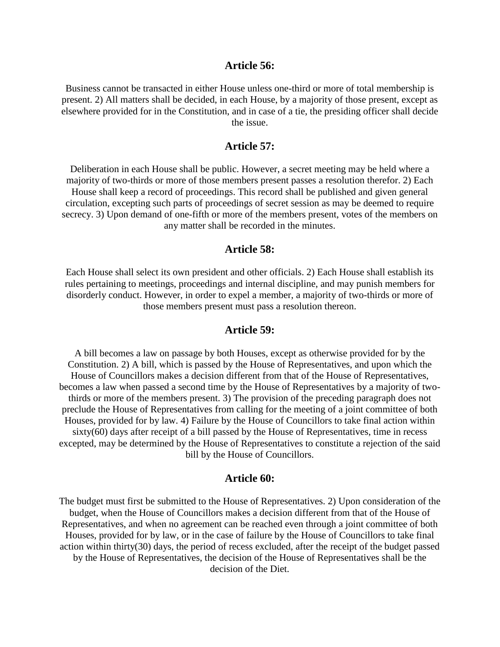#### **Article 56:**

Business cannot be transacted in either House unless one-third or more of total membership is present. 2) All matters shall be decided, in each House, by a majority of those present, except as elsewhere provided for in the Constitution, and in case of a tie, the presiding officer shall decide the issue.

#### **Article 57:**

Deliberation in each House shall be public. However, a secret meeting may be held where a majority of two-thirds or more of those members present passes a resolution therefor. 2) Each House shall keep a record of proceedings. This record shall be published and given general circulation, excepting such parts of proceedings of secret session as may be deemed to require secrecy. 3) Upon demand of one-fifth or more of the members present, votes of the members on any matter shall be recorded in the minutes.

#### **Article 58:**

Each House shall select its own president and other officials. 2) Each House shall establish its rules pertaining to meetings, proceedings and internal discipline, and may punish members for disorderly conduct. However, in order to expel a member, a majority of two-thirds or more of those members present must pass a resolution thereon.

### **Article 59:**

A bill becomes a law on passage by both Houses, except as otherwise provided for by the Constitution. 2) A bill, which is passed by the House of Representatives, and upon which the House of Councillors makes a decision different from that of the House of Representatives, becomes a law when passed a second time by the House of Representatives by a majority of twothirds or more of the members present. 3) The provision of the preceding paragraph does not preclude the House of Representatives from calling for the meeting of a joint committee of both Houses, provided for by law. 4) Failure by the House of Councillors to take final action within sixty(60) days after receipt of a bill passed by the House of Representatives, time in recess excepted, may be determined by the House of Representatives to constitute a rejection of the said bill by the House of Councillors.

#### **Article 60:**

The budget must first be submitted to the House of Representatives. 2) Upon consideration of the budget, when the House of Councillors makes a decision different from that of the House of Representatives, and when no agreement can be reached even through a joint committee of both Houses, provided for by law, or in the case of failure by the House of Councillors to take final action within thirty(30) days, the period of recess excluded, after the receipt of the budget passed by the House of Representatives, the decision of the House of Representatives shall be the decision of the Diet.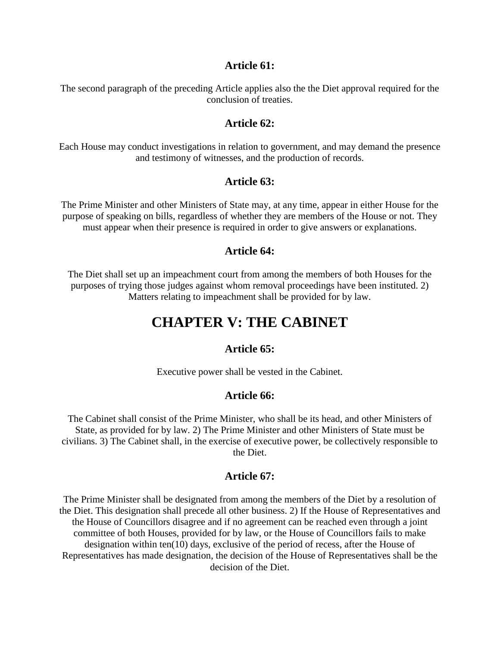#### **Article 61:**

The second paragraph of the preceding Article applies also the the Diet approval required for the conclusion of treaties.

#### **Article 62:**

Each House may conduct investigations in relation to government, and may demand the presence and testimony of witnesses, and the production of records.

### **Article 63:**

The Prime Minister and other Ministers of State may, at any time, appear in either House for the purpose of speaking on bills, regardless of whether they are members of the House or not. They must appear when their presence is required in order to give answers or explanations.

#### **Article 64:**

The Diet shall set up an impeachment court from among the members of both Houses for the purposes of trying those judges against whom removal proceedings have been instituted. 2) Matters relating to impeachment shall be provided for by law.

# **CHAPTER V: THE CABINET**

#### **Article 65:**

Executive power shall be vested in the Cabinet.

### **Article 66:**

The Cabinet shall consist of the Prime Minister, who shall be its head, and other Ministers of State, as provided for by law. 2) The Prime Minister and other Ministers of State must be civilians. 3) The Cabinet shall, in the exercise of executive power, be collectively responsible to the Diet.

#### **Article 67:**

The Prime Minister shall be designated from among the members of the Diet by a resolution of the Diet. This designation shall precede all other business. 2) If the House of Representatives and the House of Councillors disagree and if no agreement can be reached even through a joint committee of both Houses, provided for by law, or the House of Councillors fails to make designation within ten(10) days, exclusive of the period of recess, after the House of Representatives has made designation, the decision of the House of Representatives shall be the decision of the Diet.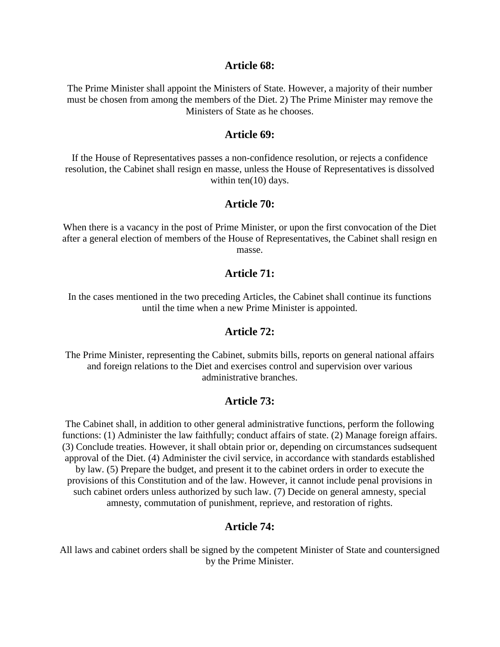#### **Article 68:**

The Prime Minister shall appoint the Ministers of State. However, a majority of their number must be chosen from among the members of the Diet. 2) The Prime Minister may remove the Ministers of State as he chooses.

#### **Article 69:**

If the House of Representatives passes a non-confidence resolution, or rejects a confidence resolution, the Cabinet shall resign en masse, unless the House of Representatives is dissolved within ten(10) days.

#### **Article 70:**

When there is a vacancy in the post of Prime Minister, or upon the first convocation of the Diet after a general election of members of the House of Representatives, the Cabinet shall resign en masse.

#### **Article 71:**

In the cases mentioned in the two preceding Articles, the Cabinet shall continue its functions until the time when a new Prime Minister is appointed.

#### **Article 72:**

The Prime Minister, representing the Cabinet, submits bills, reports on general national affairs and foreign relations to the Diet and exercises control and supervision over various administrative branches.

#### **Article 73:**

The Cabinet shall, in addition to other general administrative functions, perform the following functions: (1) Administer the law faithfully; conduct affairs of state. (2) Manage foreign affairs. (3) Conclude treaties. However, it shall obtain prior or, depending on circumstances sudsequent approval of the Diet. (4) Administer the civil service, in accordance with standards established by law. (5) Prepare the budget, and present it to the cabinet orders in order to execute the provisions of this Constitution and of the law. However, it cannot include penal provisions in such cabinet orders unless authorized by such law. (7) Decide on general amnesty, special amnesty, commutation of punishment, reprieve, and restoration of rights.

#### **Article 74:**

All laws and cabinet orders shall be signed by the competent Minister of State and countersigned by the Prime Minister.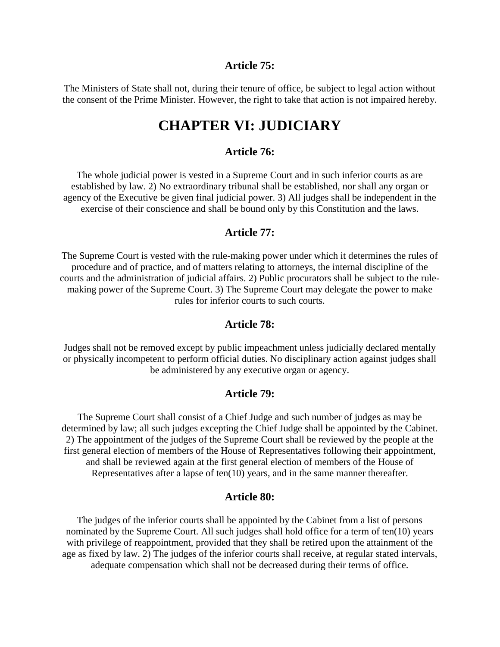#### **Article 75:**

The Ministers of State shall not, during their tenure of office, be subject to legal action without the consent of the Prime Minister. However, the right to take that action is not impaired hereby.

# **CHAPTER VI: JUDICIARY**

#### **Article 76:**

The whole judicial power is vested in a Supreme Court and in such inferior courts as are established by law. 2) No extraordinary tribunal shall be established, nor shall any organ or agency of the Executive be given final judicial power. 3) All judges shall be independent in the exercise of their conscience and shall be bound only by this Constitution and the laws.

#### **Article 77:**

The Supreme Court is vested with the rule-making power under which it determines the rules of procedure and of practice, and of matters relating to attorneys, the internal discipline of the courts and the administration of judicial affairs. 2) Public procurators shall be subject to the rulemaking power of the Supreme Court. 3) The Supreme Court may delegate the power to make rules for inferior courts to such courts.

#### **Article 78:**

Judges shall not be removed except by public impeachment unless judicially declared mentally or physically incompetent to perform official duties. No disciplinary action against judges shall be administered by any executive organ or agency.

#### **Article 79:**

The Supreme Court shall consist of a Chief Judge and such number of judges as may be determined by law; all such judges excepting the Chief Judge shall be appointed by the Cabinet. 2) The appointment of the judges of the Supreme Court shall be reviewed by the people at the first general election of members of the House of Representatives following their appointment, and shall be reviewed again at the first general election of members of the House of Representatives after a lapse of ten(10) years, and in the same manner thereafter.

#### **Article 80:**

The judges of the inferior courts shall be appointed by the Cabinet from a list of persons nominated by the Supreme Court. All such judges shall hold office for a term of ten(10) years with privilege of reappointment, provided that they shall be retired upon the attainment of the age as fixed by law. 2) The judges of the inferior courts shall receive, at regular stated intervals, adequate compensation which shall not be decreased during their terms of office.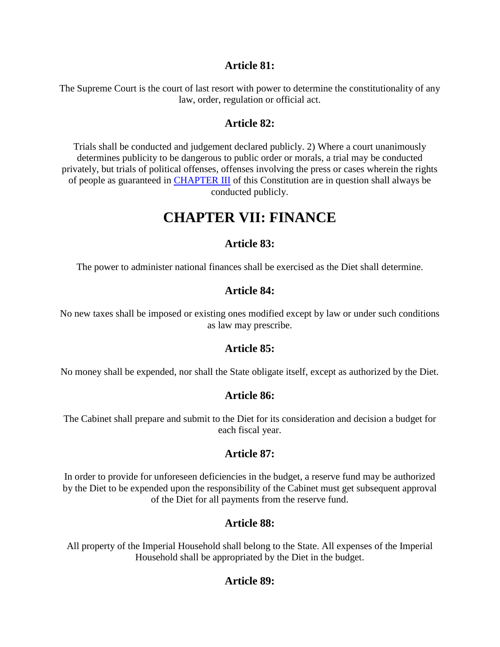### **Article 81:**

The Supreme Court is the court of last resort with power to determine the constitutionality of any law, order, regulation or official act.

## **Article 82:**

Trials shall be conducted and judgement declared publicly. 2) Where a court unanimously determines publicity to be dangerous to public order or morals, a trial may be conducted privately, but trials of political offenses, offenses involving the press or cases wherein the rights of people as guaranteed in [CHAPTER III](http://www.solon.org/Constitutions/Japan/English/english-Constitution.html#CHAPTER_III) of this Constitution are in question shall always be conducted publicly.

# **CHAPTER VII: FINANCE**

# **Article 83:**

The power to administer national finances shall be exercised as the Diet shall determine.

## **Article 84:**

No new taxes shall be imposed or existing ones modified except by law or under such conditions as law may prescribe.

## **Article 85:**

No money shall be expended, nor shall the State obligate itself, except as authorized by the Diet.

# **Article 86:**

The Cabinet shall prepare and submit to the Diet for its consideration and decision a budget for each fiscal year.

# **Article 87:**

In order to provide for unforeseen deficiencies in the budget, a reserve fund may be authorized by the Diet to be expended upon the responsibility of the Cabinet must get subsequent approval of the Diet for all payments from the reserve fund.

# **Article 88:**

All property of the Imperial Household shall belong to the State. All expenses of the Imperial Household shall be appropriated by the Diet in the budget.

# **Article 89:**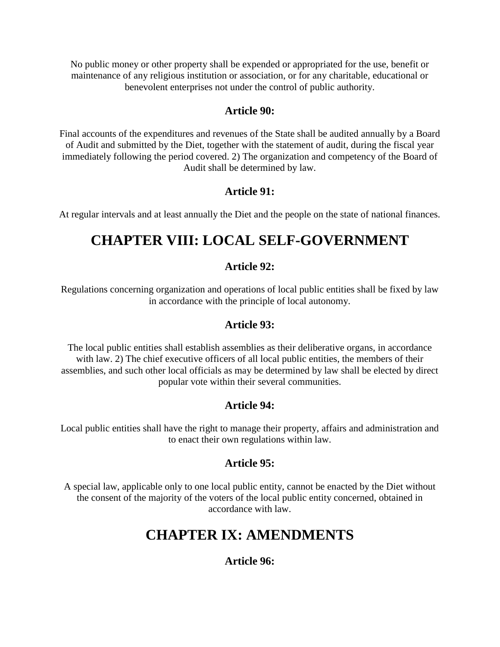No public money or other property shall be expended or appropriated for the use, benefit or maintenance of any religious institution or association, or for any charitable, educational or benevolent enterprises not under the control of public authority.

# **Article 90:**

Final accounts of the expenditures and revenues of the State shall be audited annually by a Board of Audit and submitted by the Diet, together with the statement of audit, during the fiscal year immediately following the period covered. 2) The organization and competency of the Board of Audit shall be determined by law.

# **Article 91:**

At regular intervals and at least annually the Diet and the people on the state of national finances.

# **CHAPTER VIII: LOCAL SELF-GOVERNMENT**

# **Article 92:**

Regulations concerning organization and operations of local public entities shall be fixed by law in accordance with the principle of local autonomy.

# **Article 93:**

The local public entities shall establish assemblies as their deliberative organs, in accordance with law. 2) The chief executive officers of all local public entities, the members of their assemblies, and such other local officials as may be determined by law shall be elected by direct popular vote within their several communities.

# **Article 94:**

Local public entities shall have the right to manage their property, affairs and administration and to enact their own regulations within law.

# **Article 95:**

A special law, applicable only to one local public entity, cannot be enacted by the Diet without the consent of the majority of the voters of the local public entity concerned, obtained in accordance with law.

# **CHAPTER IX: AMENDMENTS**

# **Article 96:**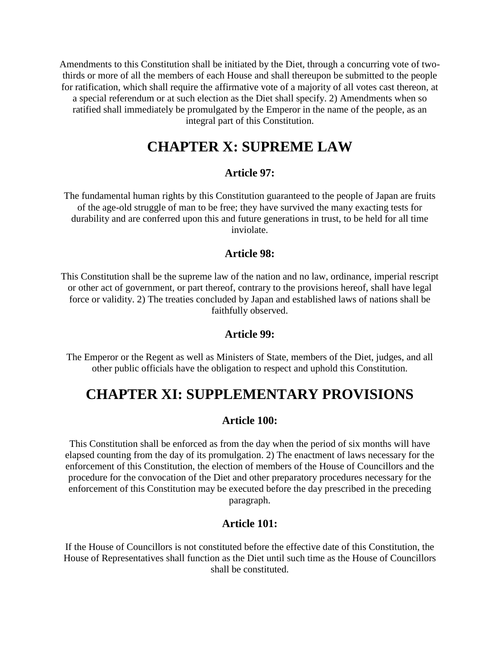Amendments to this Constitution shall be initiated by the Diet, through a concurring vote of twothirds or more of all the members of each House and shall thereupon be submitted to the people for ratification, which shall require the affirmative vote of a majority of all votes cast thereon, at a special referendum or at such election as the Diet shall specify. 2) Amendments when so ratified shall immediately be promulgated by the Emperor in the name of the people, as an integral part of this Constitution.

# **CHAPTER X: SUPREME LAW**

### **Article 97:**

The fundamental human rights by this Constitution guaranteed to the people of Japan are fruits of the age-old struggle of man to be free; they have survived the many exacting tests for durability and are conferred upon this and future generations in trust, to be held for all time inviolate.

### **Article 98:**

This Constitution shall be the supreme law of the nation and no law, ordinance, imperial rescript or other act of government, or part thereof, contrary to the provisions hereof, shall have legal force or validity. 2) The treaties concluded by Japan and established laws of nations shall be faithfully observed.

#### **Article 99:**

The Emperor or the Regent as well as Ministers of State, members of the Diet, judges, and all other public officials have the obligation to respect and uphold this Constitution.

# **CHAPTER XI: SUPPLEMENTARY PROVISIONS**

### **Article 100:**

This Constitution shall be enforced as from the day when the period of six months will have elapsed counting from the day of its promulgation. 2) The enactment of laws necessary for the enforcement of this Constitution, the election of members of the House of Councillors and the procedure for the convocation of the Diet and other preparatory procedures necessary for the enforcement of this Constitution may be executed before the day prescribed in the preceding paragraph.

#### **Article 101:**

If the House of Councillors is not constituted before the effective date of this Constitution, the House of Representatives shall function as the Diet until such time as the House of Councillors shall be constituted.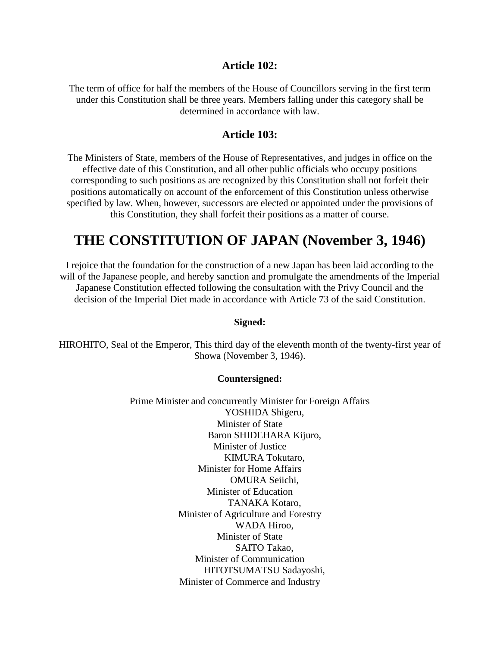#### **Article 102:**

The term of office for half the members of the House of Councillors serving in the first term under this Constitution shall be three years. Members falling under this category shall be determined in accordance with law.

### **Article 103:**

The Ministers of State, members of the House of Representatives, and judges in office on the effective date of this Constitution, and all other public officials who occupy positions corresponding to such positions as are recognized by this Constitution shall not forfeit their positions automatically on account of the enforcement of this Constitution unless otherwise specified by law. When, however, successors are elected or appointed under the provisions of this Constitution, they shall forfeit their positions as a matter of course.

# **THE CONSTITUTION OF JAPAN (November 3, 1946)**

I rejoice that the foundation for the construction of a new Japan has been laid according to the will of the Japanese people, and hereby sanction and promulgate the amendments of the Imperial Japanese Constitution effected following the consultation with the Privy Council and the decision of the Imperial Diet made in accordance with Article 73 of the said Constitution.

#### **Signed:**

HIROHITO, Seal of the Emperor, This third day of the eleventh month of the twenty-first year of Showa (November 3, 1946).

#### **Countersigned:**

Prime Minister and concurrently Minister for Foreign Affairs YOSHIDA Shigeru, Minister of State Baron SHIDEHARA Kijuro, Minister of Justice KIMURA Tokutaro, Minister for Home Affairs OMURA Seiichi, Minister of Education TANAKA Kotaro, Minister of Agriculture and Forestry WADA Hiroo, Minister of State SAITO Takao, Minister of Communication HITOTSUMATSU Sadayoshi, Minister of Commerce and Industry